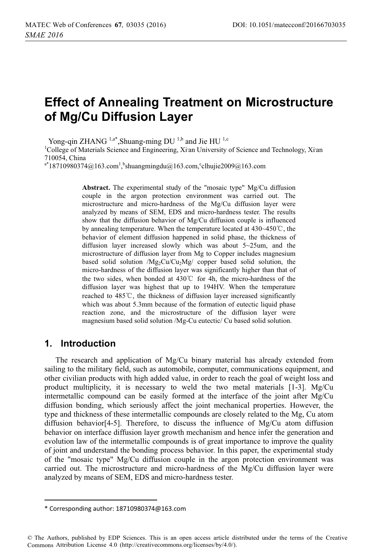# **Effect of Annealing Treatment on Microstructure of Mg/Cu Diffusion Layer**

Yong-qin ZHANG  $^{1,a^*}$ , Shuang-ming DU  $^{1,b}$  and Jie HU  $^{1,c}$ 

College of Materials Science and Engineering, Xi'an University of Science and Technology, Xi'an 710054, China

 $a^*$ 18710980374@163.com<sup>1</sup>, bshuangmingdu@163.com, clhujie2009@163.com

**Abstract.** The experimental study of the "mosaic type" Mg/Cu diffusion couple in the argon protection environment was carried out. The microstructure and micro-hardness of the Mg/Cu diffusion layer were analyzed by means of SEM, EDS and micro-hardness tester. The results show that the diffusion behavior of  $Mg/Cu$  diffusion couple is influenced by annealing temperature. When the temperature located at  $430~450^{\circ}$ C, the behavior of element diffusion happened in solid phase, the thickness of diffusion layer increased slowly which was about 5~25um, and the microstructure of diffusion layer from Mg to Copper includes magnesium based solid solution  $/Mg_2Cu/Cu_2Mg$  copper based solid solution, the micro-hardness of the diffusion layer was significantly higher than that of the two sides, when bonded at  $430^{\circ}$  for 4h, the micro-hardness of the diffusion layer was highest that up to 194HV. When the temperature reached to  $485^{\circ}$ C, the thickness of diffusion layer increased significantly which was about 5.3mm because of the formation of eutectic liquid phase reaction zone, and the microstructure of the diffusion layer were magnesium based solid solution /Mg-Cu eutectic/ Cu based solid solution.

#### **1. Introduction**

-----------------------------------

The research and application of Mg/Cu binary material has already extended from sailing to the military field, such as automobile, computer, communications equipment, and other civilian products with high added value, in order to reach the goal of weight loss and product multiplicity, it is necessary to weld the two metal materials  $[1-3]$ . Mg/Cu intermetallic compound can be easily formed at the interface of the joint after Mg/Cu diffusion bonding, which seriously affect the joint mechanical properties. However, the type and thickness of these intermetallic compounds are closely related to the Mg, Cu atom diffusion behavior[4-5]. Therefore, to discuss the influence of Mg/Cu atom diffusion behavior on interface diffusion layer growth mechanism and hence infer the generation and evolution law of the intermetallic compounds is of great importance to improve the quality of joint and understand the bonding process behavior. In this paper, the experimental study of the "mosaic type" Mg/Cu diffusion couple in the argon protection environment was carried out. The microstructure and micro-hardness of the Mg/Cu diffusion layer were analyzed by means of SEM, EDS and micro-hardness tester.

-------------------

<sup>-</sup>-----\* Corresponding author: 18710980374@163.com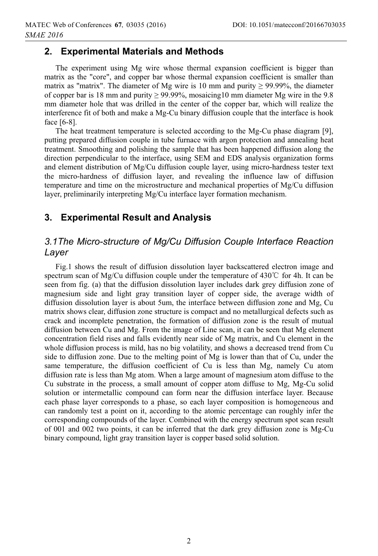# **2. Experimental Materials and Methods**

The experiment using Mg wire whose thermal expansion coefficient is bigger than matrix as the "core", and copper bar whose thermal expansion coefficient is smaller than matrix as "matrix". The diameter of Mg wire is 10 mm and purity  $\geq$  99.99%, the diameter of copper bar is 18 mm and purity  $\geq$  99.99%, mosaicing 10 mm diameter Mg wire in the 9.8 mm diameter hole that was drilled in the center of the copper bar, which will realize the interference fit of both and make a Mg-Cu binary diffusion couple that the interface is hook face [6-8].

The heat treatment temperature is selected according to the Mg-Cu phase diagram [9], putting prepared diffusion couple in tube furnace with argon protection and annealing heat treatment. Smoothing and polishing the sample that has been happened diffusion along the direction perpendicular to the interface, using SEM and EDS analysis organization forms and element distribution of Mg/Cu diffusion couple layer, using micro-hardness tester text the micro-hardness of diffusion layer, and revealing the influence law of diffusion temperature and time on the microstructure and mechanical properties of Mg/Cu diffusion layer, preliminarily interpreting Mg/Cu interface layer formation mechanism.

# **3. Experimental Result and Analysis**

# *3.1The Micro-structure of Mg/Cu Diffusion Couple Interface Reaction Layer*

Fig.1 shows the result of diffusion dissolution layer backscattered electron image and spectrum scan of Mg/Cu diffusion couple under the temperature of 430°C for 4h. It can be seen from fig. (a) that the diffusion dissolution layer includes dark grey diffusion zone of magnesium side and light gray transition layer of copper side, the average width of diffusion dissolution layer is about 5um, the interface between diffusion zone and Mg, Cu matrix shows clear, diffusion zone structure is compact and no metallurgical defects such as crack and incomplete penetration, the formation of diffusion zone is the result of mutual diffusion between Cu and Mg. From the image of Line scan, it can be seen that Mg element concentration field rises and falls evidently near side of Mg matrix, and Cu element in the whole diffusion process is mild, has no big volatility, and shows a decreased trend from Cu side to diffusion zone. Due to the melting point of Mg is lower than that of Cu, under the same temperature, the diffusion coefficient of Cu is less than Mg, namely Cu atom diffusion rate is less than Mg atom. When a large amount of magnesium atom diffuse to the Cu substrate in the process, a small amount of copper atom diffuse to Mg, Mg-Cu solid solution or intermetallic compound can form near the diffusion interface layer. Because each phase layer corresponds to a phase, so each layer composition is homogeneous and can randomly test a point on it, according to the atomic percentage can roughly infer the corresponding compounds of the layer. Combined with the energy spectrum spot scan result of 001 and 002 two points, it can be inferred that the dark grey diffusion zone is Mg-Cu binary compound, light gray transition layer is copper based solid solution.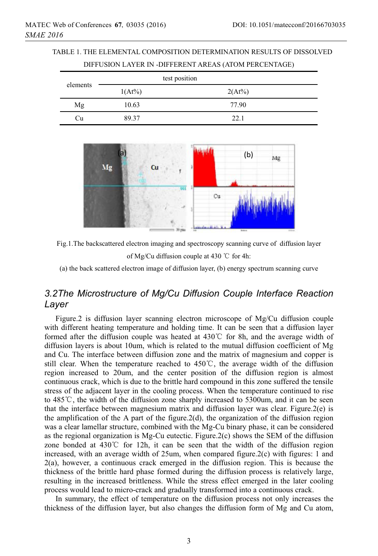TABLE 1. THE ELEMENTAL COMPOSITION DETERMINATION RESULTS OF DISSOLVED DIFFUSION LAYER IN -DIFFERENT AREAS (ATOM PERCENTAGE)

| elements | test position |        |
|----------|---------------|--------|
|          | $1(At\%)$     | 2(At%) |
| Mg       | 10.63         | 77.90  |
| Cп       | 89.37         | 22.1   |



Fig.1.The backscattered electron imaging and spectroscopy scanning curve of diffusion layer of Mg/Cu diffusion couple at 430  $\degree$ C for 4h:

(a) the back scattered electron image of diffusion layer, (b) energy spectrum scanning curve

# *3.2The Microstructure of Mg/Cu Diffusion Couple Interface Reaction Layer*

Figure.2 is diffusion layer scanning electron microscope of Mg/Cu diffusion couple with different heating temperature and holding time. It can be seen that a diffusion layer formed after the diffusion couple was heated at  $430^{\circ}$  for 8h, and the average width of diffusion layers is about 10um, which is related to the mutual diffusion coefficient of Mg and Cu. The interface between diffusion zone and the matrix of magnesium and copper is still clear. When the temperature reached to 450°C, the average width of the diffusion region increased to 20um, and the center position of the diffusion region is almost continuous crack, which is due to the brittle hard compound in this zone suffered the tensile stress of the adjacent layer in the cooling process. When the temperature continued to rise to  $485^{\circ}$ , the width of the diffusion zone sharply increased to 5300um, and it can be seen that the interface between magnesium matrix and diffusion layer was clear. Figure.2(e) is the amplification of the A part of the figure.2(d), the organization of the diffusion region was a clear lamellar structure, combined with the Mg-Cu binary phase, it can be considered as the regional organization is  $Mg$ -Cu eutectic. Figure.2(c) shows the SEM of the diffusion zone bonded at  $430^{\circ}$  for 12h, it can be seen that the width of the diffusion region increased, with an average width of 25um, when compared figure.2(c) with figures: 1 and 2(a), however, a continuous crack emerged in the diffusion region. This is because the thickness of the brittle hard phase formed during the diffusion process is relatively large, resulting in the increased brittleness. While the stress effect emerged in the later cooling process would lead to micro-crack and gradually transformed into a continuous crack.

In summary, the effect of temperature on the diffusion process not only increases the thickness of the diffusion layer, but also changes the diffusion form of Mg and Cu atom,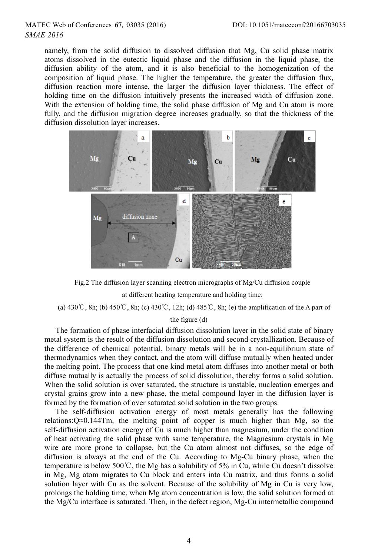namely, from the solid diffusion to dissolved diffusion that Mg, Cu solid phase matrix atoms dissolved in the eutectic liquid phase and the diffusion in the liquid phase, the diffusion ability of the atom, and it is also beneficial to the homogenization of the composition of liquid phase. The higher the temperature, the greater the diffusion flux, diffusion reaction more intense, the larger the diffusion layer thickness. The effect of holding time on the diffusion intuitively presents the increased width of diffusion zone. With the extension of holding time, the solid phase diffusion of Mg and Cu atom is more fully, and the diffusion migration degree increases gradually, so that the thickness of the diffusion dissolution layer increases.



Fig.2 The diffusion layer scanning electron micrographs of Mg/Cu diffusion couple at different heating temperature and holding time:

(a)  $430^{\circ}$ C, 8h; (b)  $450^{\circ}$ C, 8h; (c)  $430^{\circ}$ C, 12h; (d)  $485^{\circ}$ C, 8h; (e) the amplification of the A part of

#### the figure (d)

The formation of phase interfacial diffusion dissolution layer in the solid state of binary metal system is the result of the diffusion dissolution and second crystallization. Because of the difference of chemical potential, binary metals will be in a non-equilibrium state of thermodynamics when they contact, and the atom will diffuse mutually when heated under the melting point. The process that one kind metal atom diffuses into another metal or both diffuse mutually is actually the process of solid dissolution, thereby forms a solid solution. When the solid solution is over saturated, the structure is unstable, nucleation emerges and crystal grains grow into a new phase, the metal compound layer in the diffusion layer is formed by the formation of over saturated solid solution in the two groups.

The self-diffusion activation energy of most metals generally has the following relations: $Q \approx 0.144$ Tm, the melting point of copper is much higher than Mg, so the self-diffusion activation energy of Cu is much higher than magnesium, under the condition of heat activating the solid phase with same temperature, the Magnesium crystals in Mg wire are more prone to collapse, but the Cu atom almost not diffuses, so the edge of diffusion is always at the end of the Cu. According to Mg-Cu binary phase, when the temperature is below 500°C, the Mg has a solubility of 5% in Cu, while Cu doesn't dissolve in Mg, Mg atom migrates to Cu block and enters into Cu matrix, and thus forms a solid solution layer with Cu as the solvent. Because of the solubility of Mg in Cu is very low, prolongs the holding time, when Mg atom concentration is low, the solid solution formed at the Mg/Cu interface is saturated. Then, in the defect region, Mg-Cu intermetallic compound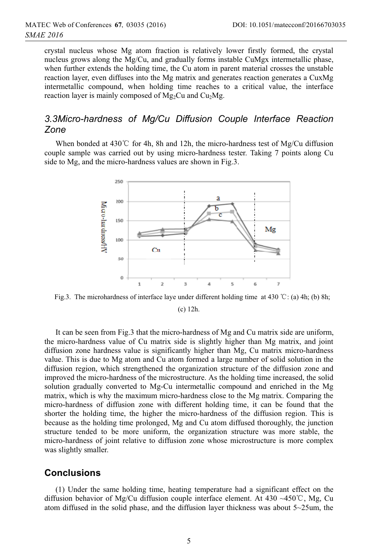crystal nucleus whose Mg atom fraction is relatively lower firstly formed, the crystal nucleus grows along the Mg/Cu, and gradually forms instable CuMgx intermetallic phase, when further extends the holding time, the Cu atom in parent material crosses the unstable reaction layer, even diffuses into the Mg matrix and generates reaction generates a CuxMg intermetallic compound, when holding time reaches to a critical value, the interface reaction layer is mainly composed of  $Mg_2Cu$  and  $Cu_2Mg$ .

# *3.3Micro-hardness of Mg/Cu Diffusion Couple Interface Reaction Zone*

When bonded at  $430^{\circ}$  for 4h, 8h and 12h, the micro-hardness test of Mg/Cu diffusion couple sample was carried out by using micro-hardness tester. Taking 7 points along Cu side to Mg, and the micro-hardness values are shown in Fig.3.



Fig.3. The microhardness of interface laye under different holding time at 430 °C; (a) 4h; (b) 8h; (c) 12h.

It can be seen from Fig.3 that the micro-hardness of Mg and Cu matrix side are uniform, the micro-hardness value of Cu matrix side is slightly higher than Mg matrix, and joint diffusion zone hardness value is significantly higher than Mg, Cu matrix micro-hardness value. This is due to Mg atom and Cu atom formed a large number of solid solution in the diffusion region, which strengthened the organization structure of the diffusion zone and improved the micro-hardness of the microstructure. As the holding time increased, the solid solution gradually converted to Mg-Cu intermetallic compound and enriched in the Mg matrix, which is why the maximum micro-hardness close to the Mg matrix. Comparing the micro-hardness of diffusion zone with different holding time, it can be found that the shorter the holding time, the higher the micro-hardness of the diffusion region. This is because as the holding time prolonged, Mg and Cu atom diffused thoroughly, the junction structure tended to be more uniform, the organization structure was more stable, the micro-hardness of joint relative to diffusion zone whose microstructure is more complex was slightly smaller.

#### **Conclusions**

(1) Under the same holding time, heating temperature had a significant effect on the diffusion behavior of Mg/Cu diffusion couple interface element. At 430 ~450°C, Mg, Cu atom diffused in the solid phase, and the diffusion layer thickness was about 5~25um, the